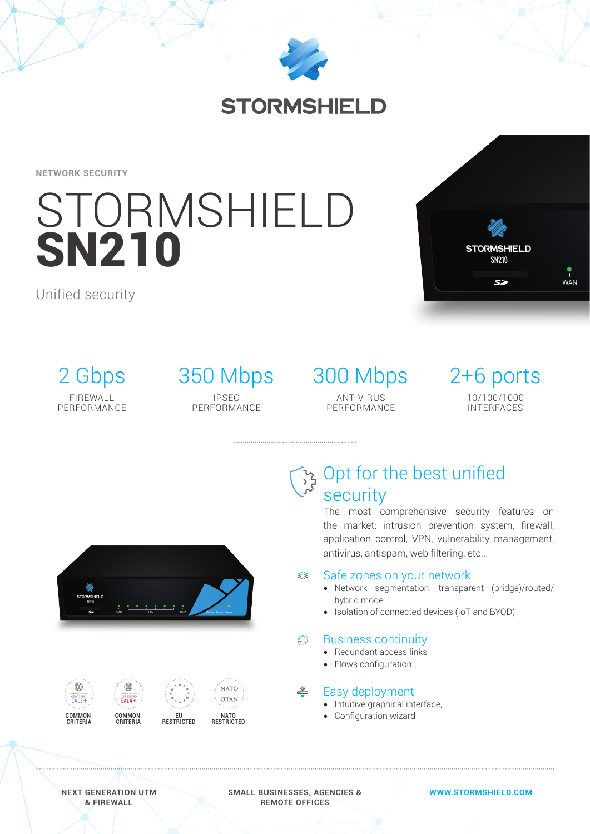

# **STORMSHIELD**

**NETWORK SECURITY**

# STORMSHIELD **SN210**

Unified security



2 Gbps FIREWALL PERFORMANCE

# IPSEC

PERFORMANCE

## 350 Mbps 300 Mbps 2+6 ports ANTIVIRUS **PERFORMANCE**

10/100/1000 INTERFACES



# Opt for the best unified security

The most comprehensive security features on the market: intrusion prevention system, firewall, application control, VPN, vulnerability management, antivirus, antispam, web filtering, etc...

#### Safe zones on your network ≋

- Network segmentation: transparent (bridge)/routed/ hybrid mode
- Isolation of connected devices (IoT and BYOD)

#### $\mathbb{C}^1$ Business continuity

- Redundant access links
- Flows configuration

#### $\triangle$ Easy deployment

- Intuitive graphical interface,
- Configuration wizard



**NEXT GENERATION UTM & FIREWALL**

**SMALL BUSINESSES, AGENCIES & REMOTE OFFICES**

**WWW.STORMSHIELD.COM**